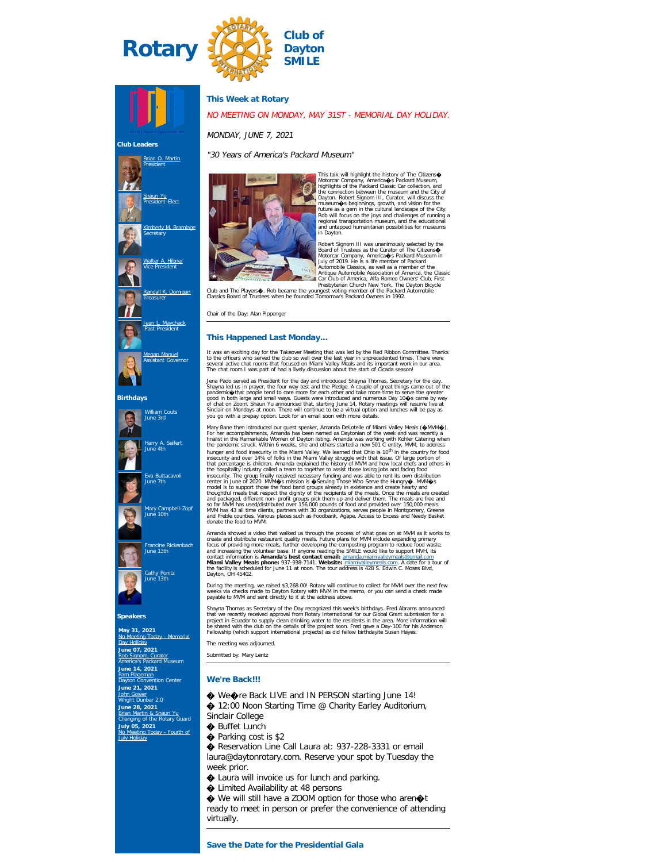





an O. Martin President

<u>[Shaun Yu](https://www.ismyrotaryclub.org/EMailer.cfm?ID=800402048)</u><br>President-Elect

[Kimberly M. Bramlage](https://www.ismyrotaryclub.org/EMailer.cfm?ID=800408947) Secretary

[Walter A. Hibner](https://www.ismyrotaryclub.org/EMailer.cfm?ID=800252866) Vice President

**Rall K. Domigan** Treasurer

[Jean L. Maychack](https://www.ismyrotaryclub.org/EMailer.cfm?ID=800253400) iPast President

an Manuel sistant Go

William Couts June 3rd

Harry A. Seifert June 4th

Francine Rickenbach June 13th

Cathy Ponitz June 13th

**May 31, 2021** [No Meeting Today - Memorial](https://ismyrotaryclub.com/wp_api_prod_1-1/R_Event.cfm?fixTables=0&fixImages=0&EventID=77533432) [Day Holiday](https://ismyrotaryclub.com/wp_api_prod_1-1/R_Event.cfm?fixTables=0&fixImages=0&EventID=77533432) **June 07, 2021** [Rob Signom, Curator](https://ismyrotaryclub.com/wp_api_prod_1-1/R_Event.cfm?fixTables=0&fixImages=0&EventID=77529208) America's Packard Museum **June 14, 2021** [Pam Plageman](https://ismyrotaryclub.com/wp_api_prod_1-1/R_Event.cfm?fixTables=0&fixImages=0&EventID=77529209)

tion Center

**Club Leaders**

 $\mathbb{R}$ 

# **This Week at Rotary**

# NO MEETING ON MONDAY, MAY 31ST - MEMORIAL DAY HOLIDAY.

## MONDAY, JUNE 7, 2021

"30 Years of America's Packard Museum"



This talk will highlight the history of The Citzens<br/> $\bullet$  Motorcar Company, America $\bullet$  S Packard Museum, highlights of the Packard Cassic Car collection, and<br>the connection between the museum and the City of<br>Dayton. R

Robert Signam III was unanimously selected by the Subdividence of Packard Museum in Automobile Classics, as well as a member of the Clitzens of the Automobile Classics, as well as a member of the Clitzens of Packard Museum

Chair of the Day: Alan Pippenger

## **This Happened Last Monday...**

It was an exciting day for the Takeover Meeting that was led by the Red Ribbon Committee. Thanks<br>to the officers who served the club so well over the last year in unprecedented times. There were<br>several active chat rooms t

Jenna Pado served as President for the day and introduced Shayna Thomas, Sceretary for the day.<br>Shayna led us in prayer, the four way test and the Pledge. A couple of great things came out of the<br>pandemic $\bigcirc$ that people

Mary Bane then introduced our guest speaker, Amanda DeLotelle of Miami Valley Meals (�AMW�).<br>For her accomplishments, Amanda has been named as Daytonian of the week and was recently a<br>finalist in the Remarkable Women of D hunger and food insecurity in the Maimi Valley. We learned that Ohio is 10<sup>th</sup> in the country for food insecurity and over 14% of folks in the Maimi Valley struggle with that issue. Of large portion of that percentage is c

Amanda showed a video that walked us through the process of what goes on at MM as it works to<br>create and distribute restaurant quality meals. Future plans for MM include expanding primary<br>focus of providing more meals, fur

During the meeting, we raised \$3,268.00! Rotary will continue to collect for MVM over the next few<br>weeks via checks made to Dayton Rotary with MVM in the memo, or you can send a check made<br>payable to MVM and sent directly

Shayna Thomas as Secretary of the Day recognized this week's birthdays. Fred Abrams announced<br>that we recently received approval from Rotary International for our Global Grant submission for a<br>project in Ecuador to supply

The meeting was adjourned.

Submitted by: Mary Lentz

### **We're Back!!!**

- ♦ We�re Back LIVE and IN PERSON starting June 14!
- ◆ 12:00 Noon Starting Time @ Charity Earley Auditorium, Sinclair College
- � Buffet Lunch
	- ♦ Parking cost is \$2
	- ◆ Reservation Line Call Laura at: 937-228-3331 or email laura@daytonrotary.com. Reserve your spot by Tuesday the week prior.
	- � Laura will invoice us for lunch and parking.
	- $\bigcirc$  Limited Availability at 48 persons

We will still have a ZOOM option for those who aren  $\otimes$ t ready to meet in person or prefer the convenience of attending virtually.

Eva Buttacavoli June 7th Mary Campbell-Zopf June 10th

**Speakers**

**June 21, 2021** <u>[John Gower](https://ismyrotaryclub.com/wp_api_prod_1-1/R_Event.cfm?fixTables=0&fixImages=0&EventID=77529210)</u><br>Wright Dunbar 2.0 **June 28, 2021** [Brian Martin & Shaun Yu](https://ismyrotaryclub.com/wp_api_prod_1-1/R_Event.cfm?fixTables=0&fixImages=0&EventID=77529211) Changing of the Rotary Guard **July 05, 2021** [No Meeting Today - Fourth of](https://ismyrotaryclub.com/wp_api_prod_1-1/R_Event.cfm?fixTables=0&fixImages=0&EventID=77533431)

[July Holiday](https://ismyrotaryclub.com/wp_api_prod_1-1/R_Event.cfm?fixTables=0&fixImages=0&EventID=77533431)

**Birthdays**

П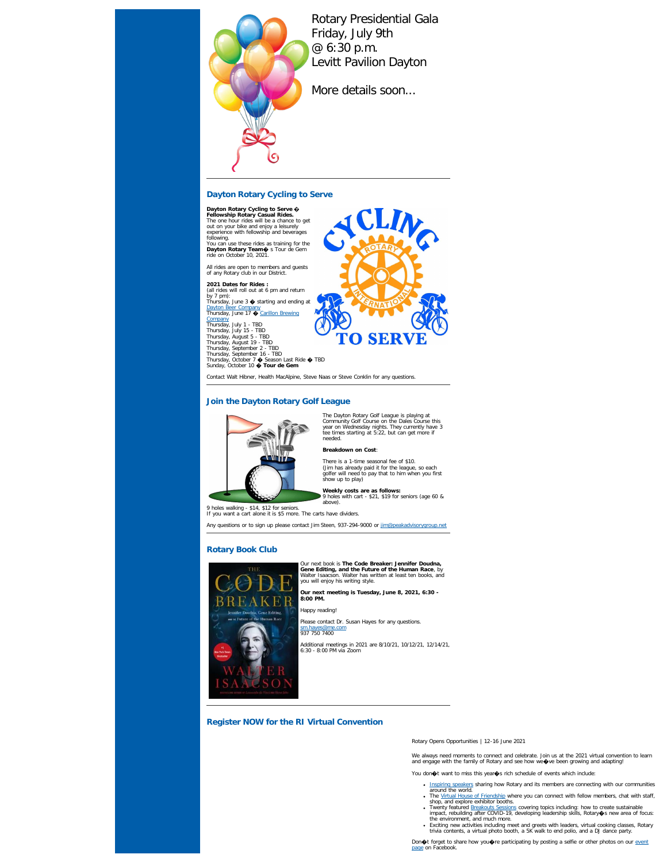

Rotary Presidential Gala Friday, July 9th @ 6:30 p.m. Levitt Pavilion Dayton

More details soon...

# **Dayton Rotary Cycling to Serve**

Dayton Rotary Cycling to Serve  $\phi$ <br>Fellowship Rotary Casual Rides.<br>The one hour rides will be a chance to get<br>out on your bike and enjoy a leisurely<br>experience with fellowship and beverages<br>following.<br>You can use these ri

All rides are open to members and guests of any Rotary club in our District.

**2021 Dates for Rides :**<br>(all rides will roll out at 6 pm and return<br>by 7 pm):<br>Thursday, June 3 � starting and ending at

<u>[Dayton Beer Company](https://thedaytonbeerco.com/)</u><br>Thursday, June 17 � <u>Carillon Brewin</u>g [Company](https://www.daytonhistory.org/visit/shop-dine/carillon-brewing-co/)<br>Thursday, July 1 - TBD<br>Thursday, July 1 - TBD<br>Thursday, August 5 - TBD<br>Thursday, August 5 - TBD<br>Thursday, September 2 - TBD<br>Thursday, October 10 � Tour de Gem<br>Sunday, October 10 � Tour de Gem

Contact Walt Hibner, Health MacAlpine, Steve Naas or Steve Conklin for any questions.

# **Join the Dayton Rotary Golf League**



The Dayton Rotary Golf League is playing at Community Golf Course on the Dales Course this year on Wednesday nights. They currently have 3 tee times starting at 5:22, but can get more if needed. **Breakdown on Cost**:

**TO SERV** 

There is a 1-time seasonal fee of \$10. (Jim has already paid it for the league, so each golfer will need to pay that to him when you first show up to play)

**Weekly costs are as follows:** 9 holes with cart - \$21, \$19 for seniors (age 60 & above).

9 holes walking - \$14, \$12 for seniors. If you want a cart alone it is \$5 more. The carts have dividers.

Any questions or to sign up please contact Jim Steen, 937-294-9000 or [jim@peakadvisorygroup.net](mailto:jim@peakadvisorygroup.net)

# **Rotary Book Club**



Our next book is **The Code Breaker: Jennifer Doudna,**<br>Gene Editing, and the Future of the Human Race, by<br>Walter Isaacson. Walter has written at least ten books, and<br>you will enjoy his writing style.

**Our next meeting is Tuesday, June 8, 2021, 6:30 - 8:00 PM.**

Happy reading!

Please contact Dr. Susan Hayes for any questions.

Additional meetings in 2021 are 8/10/21, 10/12/21, 12/14/21, 6:30 - 8:00 PM via Zoom

# **Register NOW for the RI Virtual Convention**

Rotary Opens Opportunities | 12-16 June 2021

We always need moments to connect and celebrate. Join us at the 2021 virtual convention to learn<br>and engage with the family of Rotary and see how we�ve been growing and adapting!

You don $\textcolor{blue}{\blacklozenge}$ t want to miss this year $\textcolor{blue}{\blacklozenge}$ s rich schedule of events which include:

- . [Inspiring speakers](https://convention.rotary.org/en/taipei/speakers) sharing how Rotary and its members are connecting with our communities
	-
	- around the world.<br>The <u>[Virtual House of Friendship](https://convention.rotary.org/en/taipei/house-friendship)</u> where you can connect with fellow members, chat with staff,<br>shop, and explore exhibitor booths.<br>Twenty featured Ereakoutis Sessions covering topics including: how to crea
	-

# [sm.hayes@me.com](mailto:sm.hayes@me.com) 937 750 7400